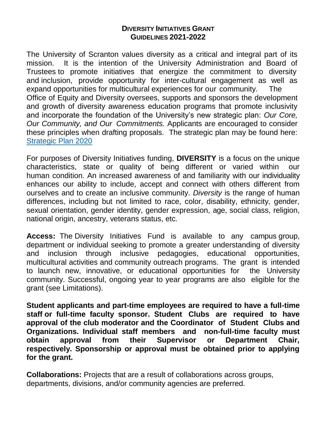## **DIVERSITY INITIATIVES GRANT GUIDELINES 2021-2022**

The University of Scranton values diversity as a critical and integral part of its mission. It is the intention of the University Administration and Board of Trustees to promote initiatives that energize the commitment to diversity and inclusion, provide opportunity for inter-cultural engagement as well as expand opportunities for multicultural experiences for our community. The Office of Equity and Diversity oversees, supports and sponsors the development and growth of diversity awareness education programs that promote inclusivity and incorporate the foundation of the University's new strategic plan: *Our Core, Our Community, and Our Commitments.* Applicants are encouraged to consider these principles when drafting proposals. The strategic plan may be found here: [Strategic Plan 2020](https://www.scranton.edu/strategic-plan/2020/index.shtml)

For purposes of Diversity Initiatives funding, **DIVERSITY** is a focus on the unique characteristics, state or quality of being different or varied within our human condition. An increased awareness of and familiarity with our individuality enhances our ability to include, accept and connect with others different from ourselves and to create an inclusive community. *Diversity* is the range of human differences, including but not limited to race, color, disability, ethnicity, gender, sexual orientation, gender identity, gender expression, age, social class, religion, national origin, ancestry, veterans status, etc.

**Access:** The Diversity Initiatives Fund is available to any campus group, department or individual seeking to promote a greater understanding of diversity and inclusion through inclusive pedagogies, educational opportunities, multicultural activities and community outreach programs. The grant is intended to launch new, innovative, or educational opportunities for the University community. Successful, ongoing year to year programs are also eligible for the grant (see Limitations).

**Student applicants and part-time employees are required to have a full-time staff or full-time faculty sponsor. Student Clubs are required to have approval of the club moderator and the Coordinator of Student Clubs and Organizations. Individual staff members and non-full-time faculty must obtain approval from their Supervisor or Department Chair, respectively. Sponsorship or approval must be obtained prior to applying for the grant.**

**Collaborations:** Projects that are a result of collaborations across groups, departments, divisions, and/or community agencies are preferred.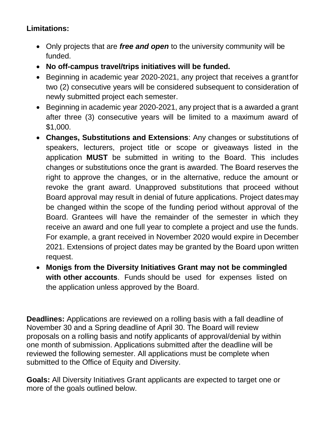## **Limitations:**

- Only projects that are *free and open* to the university community will be funded.
- **No off-campus travel/trips initiatives will be funded.**
- Beginning in academic year 2020-2021, any project that receives a grantfor two (2) consecutive years will be considered subsequent to consideration of newly submitted project each semester.
- Beginning in academic year 2020-2021, any project that is a awarded a grant after three (3) consecutive years will be limited to a maximum award of \$1,000.
- **Changes, Substitutions and Extensions**: Any changes or substitutions of speakers, lecturers, project title or scope or giveaways listed in the application **MUST** be submitted in writing to the Board. This includes changes or substitutions once the grant is awarded. The Board reserves the right to approve the changes, or in the alternative, reduce the amount or revoke the grant award. Unapproved substitutions that proceed without Board approval may result in denial of future applications. Project datesmay be changed within the scope of the funding period without approval of the Board. Grantees will have the remainder of the semester in which they receive an award and one full year to complete a project and use the funds. For example, a grant received in November 2020 would expire in December 2021. Extensions of project dates may be granted by the Board upon written request.
- **Monies from the Diversity Initiatives Grant may not be commingled with other accounts**. Funds should be used for expenses listed on the application unless approved by the Board.

**Deadlines:** Applications are reviewed on a rolling basis with a fall deadline of November 30 and a Spring deadline of April 30. The Board will review proposals on a rolling basis and notify applicants of approval/denial by within one month of submission. Applications submitted after the deadline will be reviewed the following semester. All applications must be complete when submitted to the Office of Equity and Diversity.

**Goals:** All Diversity Initiatives Grant applicants are expected to target one or more of the goals outlined below.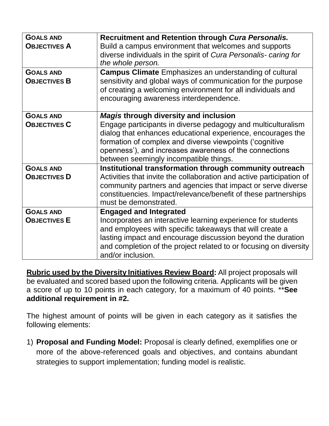| <b>GOALS AND</b><br><b>OBJECTIVES A</b><br><b>GOALS AND</b><br><b>OBJECTIVES B</b> | Recruitment and Retention through Cura Personalis.<br>Build a campus environment that welcomes and supports<br>diverse individuals in the spirit of Cura Personalis- caring for<br>the whole person.<br><b>Campus Climate</b> Emphasizes an understanding of cultural<br>sensitivity and global ways of communication for the purpose      |
|------------------------------------------------------------------------------------|--------------------------------------------------------------------------------------------------------------------------------------------------------------------------------------------------------------------------------------------------------------------------------------------------------------------------------------------|
|                                                                                    | of creating a welcoming environment for all individuals and<br>encouraging awareness interdependence.                                                                                                                                                                                                                                      |
| <b>GOALS AND</b><br><b>OBJECTIVES C</b>                                            | <b>Magis through diversity and inclusion</b><br>Engage participants in diverse pedagogy and multiculturalism<br>dialog that enhances educational experience, encourages the<br>formation of complex and diverse viewpoints ('cognitive<br>openness'), and increases awareness of the connections<br>between seemingly incompatible things. |
| <b>GOALS AND</b><br><b>OBJECTIVES D</b>                                            | Institutional transformation through community outreach<br>Activities that invite the collaboration and active participation of<br>community partners and agencies that impact or serve diverse<br>constituencies. Impact/relevance/benefit of these partnerships<br>must be demonstrated.                                                 |
| <b>GOALS AND</b><br><b>OBJECTIVES E</b>                                            | <b>Engaged and Integrated</b><br>Incorporates an interactive learning experience for students<br>and employees with specific takeaways that will create a<br>lasting impact and encourage discussion beyond the duration<br>and completion of the project related to or focusing on diversity<br>and/or inclusion.                         |

**Rubric used by the Diversity Initiatives Review Board:** All project proposals will be evaluated and scored based upon the following criteria. Applicants will be given a score of up to 10 points in each category, for a maximum of 40 points. \*\***See additional requirement in #2.**

The highest amount of points will be given in each category as it satisfies the following elements:

1) **Proposal and Funding Model:** Proposal is clearly defined, exemplifies one or more of the above-referenced goals and objectives, and contains abundant strategies to support implementation; funding model is realistic.